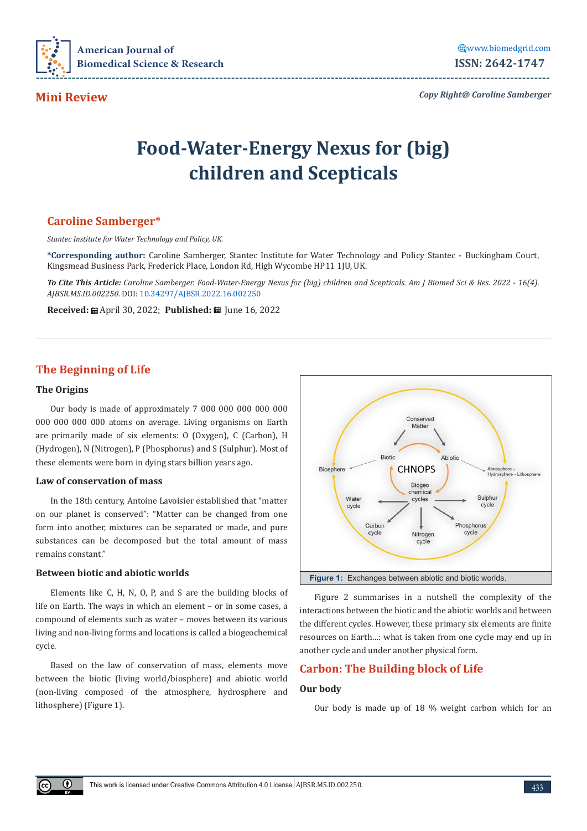

**Mini Review**

*Copy Right@ Caroline Samberger*

# **Food-Water-Energy Nexus for (big) children and Scepticals**

# **Caroline Samberger\***

*Stantec Institute for Water Technology and Policy, UK.*

**\*Corresponding author:** Caroline Samberger, Stantec Institute for Water Technology and Policy Stantec - Buckingham Court, Kingsmead Business Park, Frederick Place, London Rd, High Wycombe HP11 1JU, UK.

*To Cite This Article: Caroline Samberger. Food-Water-Energy Nexus for (big) children and Scepticals. Am J Biomed Sci & Res. 2022 - 16(4). AJBSR.MS.ID.002250.* DOI: [10.34297/AJBSR.2022.16.002250](http://dx.doi.org/10.34297/AJBSR.2022.16.002250)

**Received:** mand 20, 2022; **Published:** m June 16, 2022

# **The Beginning of Life**

## **The Origins**

 $\bigcirc$ 

Our body is made of approximately 7 000 000 000 000 000 000 000 000 000 atoms on average. Living organisms on Earth are primarily made of six elements: O (Oxygen), C (Carbon), H (Hydrogen), N (Nitrogen), P (Phosphorus) and S (Sulphur). Most of these elements were born in dying stars billion years ago.

#### **Law of conservation of mass**

In the 18th century, Antoine Lavoisier established that "matter on our planet is conserved": "Matter can be changed from one form into another, mixtures can be separated or made, and pure substances can be decomposed but the total amount of mass remains constant."

# **Between biotic and abiotic worlds**

Elements like C, H, N, O, P, and S are the building blocks of life on Earth. The ways in which an element – or in some cases, a compound of elements such as water – moves between its various living and non-living forms and locations is called a biogeochemical cycle.

Based on the law of conservation of mass, elements move between the biotic (living world/biosphere) and abiotic world (non-living composed of the atmosphere, hydrosphere and lithosphere) (Figure 1).



Figure 2 summarises in a nutshell the complexity of the interactions between the biotic and the abiotic worlds and between the different cycles. However, these primary six elements are finite resources on Earth…: what is taken from one cycle may end up in another cycle and under another physical form.

# **Carbon: The Building block of Life**

# **Our body**

Our body is made up of 18 % weight carbon which for an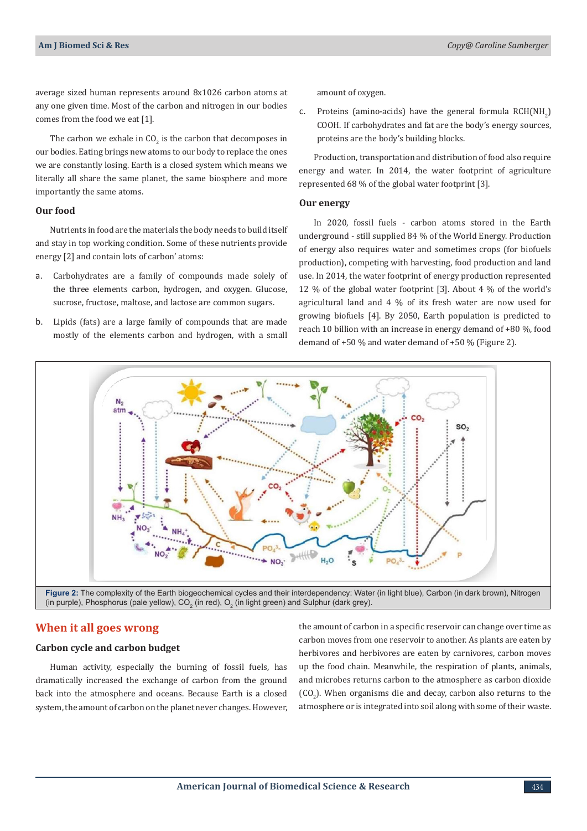average sized human represents around 8x1026 carbon atoms at any one given time. Most of the carbon and nitrogen in our bodies comes from the food we eat [1].

The carbon we exhale in CO<sub>2</sub> is the carbon that decomposes in our bodies. Eating brings new atoms to our body to replace the ones we are constantly losing. Earth is a closed system which means we literally all share the same planet, the same biosphere and more importantly the same atoms.

# **Our food**

Nutrients in food are the materials the body needs to build itself and stay in top working condition. Some of these nutrients provide energy [2] and contain lots of carbon' atoms:

- a. Carbohydrates are a family of compounds made solely of the three elements carbon, hydrogen, and oxygen. Glucose, sucrose, fructose, maltose, and lactose are common sugars.
- b. Lipids (fats) are a large family of compounds that are made mostly of the elements carbon and hydrogen, with a small

amount of oxygen.

c. Proteins (amino-acids) have the general formula  $RCH(NH<sub>2</sub>)$ COOH. If carbohydrates and fat are the body's energy sources, proteins are the body's building blocks.

Production, transportation and distribution of food also require energy and water. In 2014, the water footprint of agriculture represented 68 % of the global water footprint [3].

### **Our energy**

In 2020, fossil fuels - carbon atoms stored in the Earth underground - still supplied 84 % of the World Energy. Production of energy also requires water and sometimes crops (for biofuels production), competing with harvesting, food production and land use. In 2014, the water footprint of energy production represented 12 % of the global water footprint [3]. About 4 % of the world's agricultural land and 4 % of its fresh water are now used for growing biofuels [4]. By 2050, Earth population is predicted to reach 10 billion with an increase in energy demand of +80 %, food demand of +50 % and water demand of +50 % (Figure 2).



# **When it all goes wrong**

### **Carbon cycle and carbon budget**

Human activity, especially the burning of fossil fuels, has dramatically increased the exchange of carbon from the ground back into the atmosphere and oceans. Because Earth is a closed system, the amount of carbon on the planet never changes. However, the amount of carbon in a specific reservoir can change over time as carbon moves from one reservoir to another. As plants are eaten by herbivores and herbivores are eaten by carnivores, carbon moves up the food chain. Meanwhile, the respiration of plants, animals, and microbes returns carbon to the atmosphere as carbon dioxide  $({\rm CO}_2)$ . When organisms die and decay, carbon also returns to the atmosphere or is integrated into soil along with some of their waste.